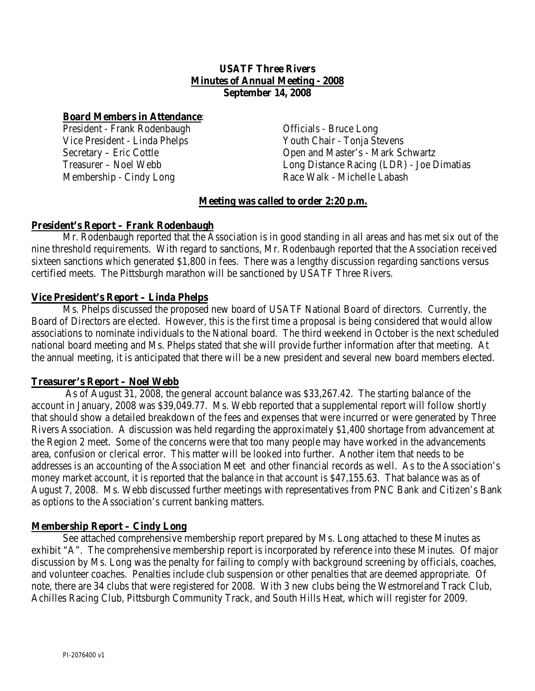## **USATF Three Rivers Minutes of Annual Meeting - 2008 September 14, 2008**

## **Board Members in Attendance**:

President - Frank Rodenbaugh Vice President - Linda Phelps Secretary – Eric Cottle Treasurer – Noel Webb Membership - Cindy Long

Officials - Bruce Long Youth Chair - Tonja Stevens Open and Master's - Mark Schwartz Long Distance Racing (LDR) - Joe Dimatias Race Walk - Michelle Labash

# **Meeting was called to order 2:20 p.m.**

# **President's Report – Frank Rodenbaugh**

Mr. Rodenbaugh reported that the Association is in good standing in all areas and has met six out of the nine threshold requirements. With regard to sanctions, Mr. Rodenbaugh reported that the Association received sixteen sanctions which generated \$1,800 in fees. There was a lengthy discussion regarding sanctions versus certified meets. The Pittsburgh marathon will be sanctioned by USATF Three Rivers.

# **Vice President's Report – Linda Phelps**

Ms. Phelps discussed the proposed new board of USATF National Board of directors. Currently, the Board of Directors are elected. However, this is the first time a proposal is being considered that would allow associations to nominate individuals to the National board. The third weekend in October is the next scheduled national board meeting and Ms. Phelps stated that she will provide further information after that meeting. At the annual meeting, it is anticipated that there will be a new president and several new board members elected.

## **Treasurer's Report – Noel Webb**

As of August 31, 2008, the general account balance was \$33,267.42. The starting balance of the account in January, 2008 was \$39,049.77. Ms. Webb reported that a supplemental report will follow shortly that should show a detailed breakdown of the fees and expenses that were incurred or were generated by Three Rivers Association. A discussion was held regarding the approximately \$1,400 shortage from advancement at the Region 2 meet. Some of the concerns were that too many people may have worked in the advancements area, confusion or clerical error. This matter will be looked into further. Another item that needs to be addresses is an accounting of the Association Meet and other financial records as well. As to the Association's money market account, it is reported that the balance in that account is \$47,155.63. That balance was as of August 7, 2008. Ms. Webb discussed further meetings with representatives from PNC Bank and Citizen's Bank as options to the Association's current banking matters.

## **Membership Report – Cindy Long**

See attached comprehensive membership report prepared by Ms. Long attached to these Minutes as exhibit "A". The comprehensive membership report is incorporated by reference into these Minutes. Of major discussion by Ms. Long was the penalty for failing to comply with background screening by officials, coaches, and volunteer coaches. Penalties include club suspension or other penalties that are deemed appropriate. Of note, there are 34 clubs that were registered for 2008. With 3 new clubs being the Westmoreland Track Club, Achilles Racing Club, Pittsburgh Community Track, and South Hills Heat, which will register for 2009.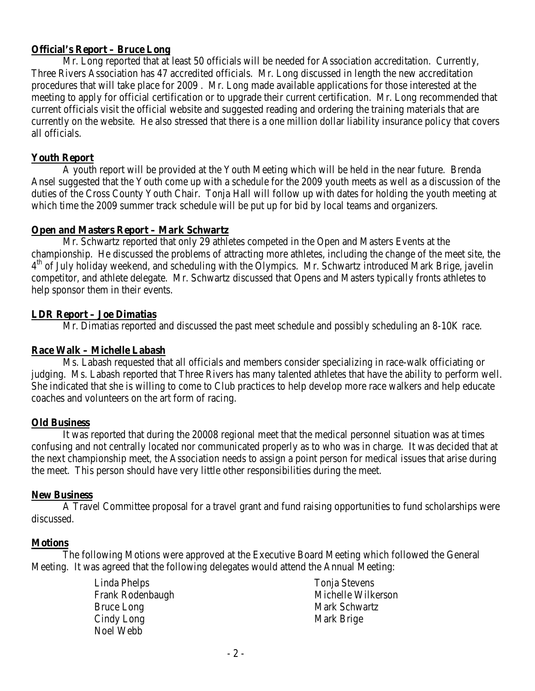# **Official's Report – Bruce Long**

Mr. Long reported that at least 50 officials will be needed for Association accreditation. Currently, Three Rivers Association has 47 accredited officials. Mr. Long discussed in length the new accreditation procedures that will take place for 2009 . Mr. Long made available applications for those interested at the meeting to apply for official certification or to upgrade their current certification. Mr. Long recommended that current officials visit the official website and suggested reading and ordering the training materials that are currently on the website. He also stressed that there is a one million dollar liability insurance policy that covers all officials.

# **Youth Report**

A youth report will be provided at the Youth Meeting which will be held in the near future. Brenda Ansel suggested that the Youth come up with a schedule for the 2009 youth meets as well as a discussion of the duties of the Cross County Youth Chair. Tonja Hall will follow up with dates for holding the youth meeting at which time the 2009 summer track schedule will be put up for bid by local teams and organizers.

# **Open and Masters Report – Mark Schwartz**

Mr. Schwartz reported that only 29 athletes competed in the Open and Masters Events at the championship. He discussed the problems of attracting more athletes, including the change of the meet site, the  $4<sup>th</sup>$  of July holiday weekend, and scheduling with the Olympics. Mr. Schwartz introduced Mark Brige, javelin competitor, and athlete delegate. Mr. Schwartz discussed that Opens and Masters typically fronts athletes to help sponsor them in their events.

# **LDR Report – Joe Dimatias**

Mr. Dimatias reported and discussed the past meet schedule and possibly scheduling an 8-10K race.

## **Race Walk – Michelle Labash**

Ms. Labash requested that all officials and members consider specializing in race-walk officiating or judging. Ms. Labash reported that Three Rivers has many talented athletes that have the ability to perform well. She indicated that she is willing to come to Club practices to help develop more race walkers and help educate coaches and volunteers on the art form of racing.

## **Old Business**

It was reported that during the 20008 regional meet that the medical personnel situation was at times confusing and not centrally located nor communicated properly as to who was in charge. It was decided that at the next championship meet, the Association needs to assign a point person for medical issues that arise during the meet. This person should have very little other responsibilities during the meet.

## **New Business**

A Travel Committee proposal for a travel grant and fund raising opportunities to fund scholarships were discussed.

## **Motions**

The following Motions were approved at the Executive Board Meeting which followed the General Meeting. It was agreed that the following delegates would attend the Annual Meeting:

> Linda Phelps Frank Rodenbaugh Bruce Long Cindy Long Noel Webb

Tonia Stevens Michelle Wilkerson Mark Schwartz Mark Brige